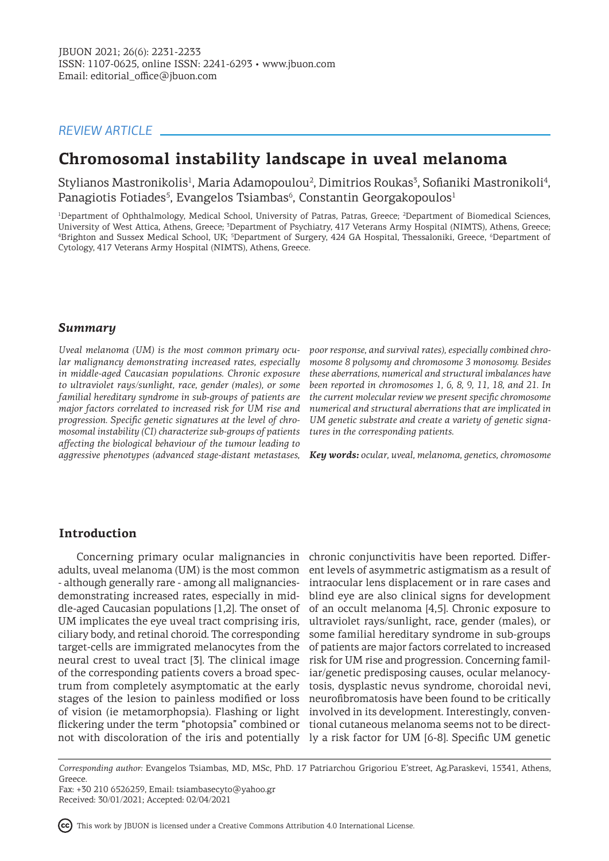# *REVIEW ARTICLE*

# **Chromosomal instability landscape in uveal melanoma**

Stylianos Mastronikolis<sup>1</sup>, Maria Adamopoulou<sup>2</sup>, Dimitrios Roukas<sup>3</sup>, Sofianiki Mastronikoli<sup>4</sup>, Panagiotis Fotiades<sup>5</sup>, Evangelos Tsiambas<sup>6</sup>, Constantin Georgakopoulos<sup>1</sup>

<sup>1</sup>Department of Ophthalmology, Medical School, University of Patras, Patras, Greece; <sup>2</sup>Department of Biomedical Sciences, University of West Attica, Athens, Greece; <sup>3</sup>Department of Psychiatry, 417 Veterans Army Hospital (NIMTS), Athens, Greece; 4 Brighton and Sussex Medical School, UK; <sup>5</sup> Department of Surgery, 424 GA Hospital, Thessaloniki, Greece, <sup>6</sup> Department of Cytology, 417 Veterans Army Hospital (NIMTS), Athens, Greece.

## *Summary*

*Uveal melanoma (UM) is the most common primary ocular malignancy demonstrating increased rates, especially in middle-aged Caucasian populations. Chronic exposure to ultraviolet rays/sunlight, race, gender (males), or some familial hereditary syndrome in sub-groups of patients are major factors correlated to increased risk for UM rise and progression. Specific genetic signatures at the level of chromosomal instability (CI) characterize sub-groups of patients affecting the biological behaviour of the tumour leading to aggressive phenotypes (advanced stage-distant metastases, Key words: ocular, uveal, melanoma, genetics, chromosome*

*poor response, and survival rates), especially combined chromosome 8 polysomy and chromosome 3 monosomy. Besides these aberrations, numerical and structural imbalances have been reported in chromosomes 1, 6, 8, 9, 11, 18, and 21. In the current molecular review we present specific chromosome numerical and structural aberrations that are implicated in UM genetic substrate and create a variety of genetic signatures in the corresponding patients.* 

### **Introduction**

adults, uveal melanoma (UM) is the most common - although generally rare - among all malignanciesdemonstrating increased rates, especially in middle-aged Caucasian populations [1,2]. The onset of UM implicates the eye uveal tract comprising iris, ciliary body, and retinal choroid. The corresponding target-cells are immigrated melanocytes from the neural crest to uveal tract [3]. The clinical image of the corresponding patients covers a broad spectrum from completely asymptomatic at the early stages of the lesion to painless modified or loss of vision (ie metamorphopsia). Flashing or light involved in its development. Interestingly, convenflickering under the term "photopsia" combined or tional cutaneous melanoma seems not to be directnot with discoloration of the iris and potentially ly a risk factor for UM [6-8]. Specific UM genetic

Concerning primary ocular malignancies in chronic conjunctivitis have been reported. Different levels of asymmetric astigmatism as a result of intraocular lens displacement or in rare cases and blind eye are also clinical signs for development of an occult melanoma [4,5]. Chronic exposure to ultraviolet rays/sunlight, race, gender (males), or some familial hereditary syndrome in sub-groups of patients are major factors correlated to increased risk for UM rise and progression. Concerning familiar/genetic predisposing causes, ocular melanocytosis, dysplastic nevus syndrome, choroidal nevi, neurofibromatosis have been found to be critically

This work by JBUON is licensed under a Creative Commons Attribution 4.0 International License.

*Corresponding author:* Evangelos Tsiambas, MD, MSc, PhD. 17 Patriarchou Grigoriou E'street, Ag.Paraskevi, 15341, Athens, Greece.

Fax: +30 210 6526259, Email: tsiambasecyto@yahoo.gr Received: 30/01/2021; Accepted: 02/04/2021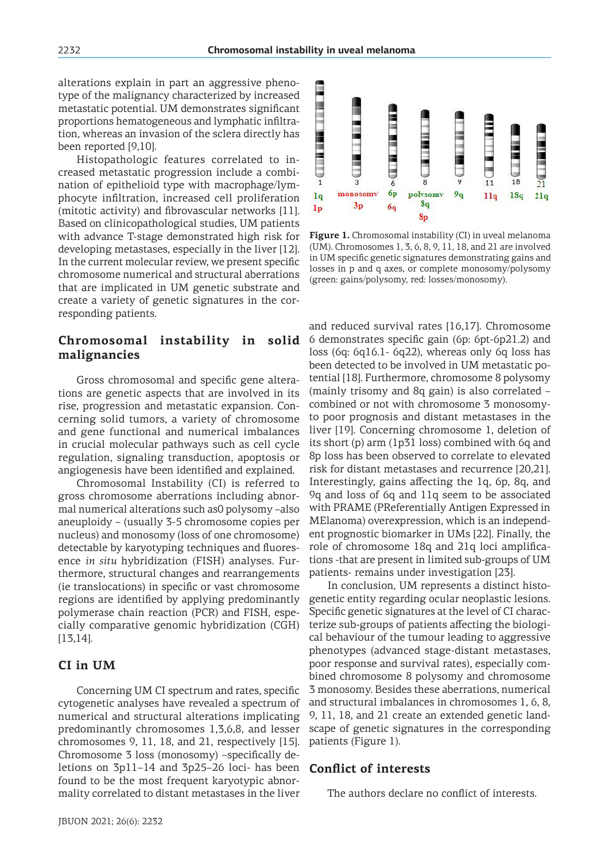alterations explain in part an aggressive phenotype of the malignancy characterized by increased metastatic potential. UM demonstrates significant proportions hematogeneous and lymphatic infiltration, whereas an invasion of the sclera directly has been reported [9,10].

Histopathologic features correlated to increased metastatic progression include a combination of epithelioid type with macrophage/lymphocyte infiltration, increased cell proliferation (mitotic activity) and fibrovascular networks [11]. Based on clinicopathological studies, UM patients with advance T-stage demonstrated high risk for developing metastases, especially in the liver [12]. In the current molecular review, we present specific chromosome numerical and structural aberrations that are implicated in UM genetic substrate and create a variety of genetic signatures in the corresponding patients.

# **malignancies**

Gross chromosomal and specific gene alterations are genetic aspects that are involved in its rise, progression and metastatic expansion. Concerning solid tumors, a variety of chromosome and gene functional and numerical imbalances in crucial molecular pathways such as cell cycle regulation, signaling transduction, apoptosis or angiogenesis have been identified and explained.

Chromosomal Instability (CI) is referred to gross chromosome aberrations including abnormal numerical alterations such as0 polysomy –also aneuploidy – (usually 3-5 chromosome copies per nucleus) and monosomy (loss of one chromosome) detectable by karyotyping techniques and fluoresence *in situ* hybridization (FISH) analyses. Furthermore, structural changes and rearrangements (ie translocations) in specific or vast chromosome regions are identified by applying predominantly polymerase chain reaction (PCR) and FISH, especially comparative genomic hybridization (CGH) [13,14].

### **CI in UM**

Concerning UM CI spectrum and rates, specific cytogenetic analyses have revealed a spectrum of numerical and structural alterations implicating predominantly chromosomes 1,3,6,8, and lesser chromosomes 9, 11, 18, and 21, respectively [15]. Chromosome 3 loss (monosomy) –specifically deletions on 3p11–14 and 3p25–26 loci- has been found to be the most frequent karyotypic abnormality correlated to distant metastases in the liver



**Figure 1.** Chromosomal instability (CI) in uveal melanoma (UM). Chromosomes 1, 3, 6, 8, 9, 11, 18, and 21 are involved in UM specific genetic signatures demonstrating gains and losses in p and q axes, or complete monosomy/polysomy (green: gains/polysomy, red: losses/monosomy).

**Chromosomal instability in solid**  6 demonstrates specific gain (6p: 6pt-6p21.2) and and reduced survival rates [16,17]. Chromosome loss (6q: 6q16.1- 6q22), whereas only 6q loss has been detected to be involved in UM metastatic potential [18]. Furthermore, chromosome 8 polysomy (mainly trisomy and 8q gain) is also correlated – combined or not with chromosome 3 monosomyto poor prognosis and distant metastases in the liver [19]. Concerning chromosome 1, deletion of its short (p) arm (1p31 loss) combined with 6q and 8p loss has been observed to correlate to elevated risk for distant metastases and recurrence [20,21]. Interestingly, gains affecting the 1q, 6p, 8q, and 9q and loss of 6q and 11q seem to be associated with PRAME (PReferentially Antigen Expressed in MElanoma) overexpression, which is an independent prognostic biomarker in UMs [22]. Finally, the role of chromosome 18q and 21q loci amplifications -that are present in limited sub-groups of UM patients- remains under investigation [23].

> In conclusion, UM represents a distinct histogenetic entity regarding ocular neoplastic lesions. Specific genetic signatures at the level of CI characterize sub-groups of patients affecting the biological behaviour of the tumour leading to aggressive phenotypes (advanced stage-distant metastases, poor response and survival rates), especially combined chromosome 8 polysomy and chromosome 3 monosomy. Besides these aberrations, numerical and structural imbalances in chromosomes 1, 6, 8, 9, 11, 18, and 21 create an extended genetic landscape of genetic signatures in the corresponding patients (Figure 1).

#### **Conflict of interests**

The authors declare no conflict of interests.